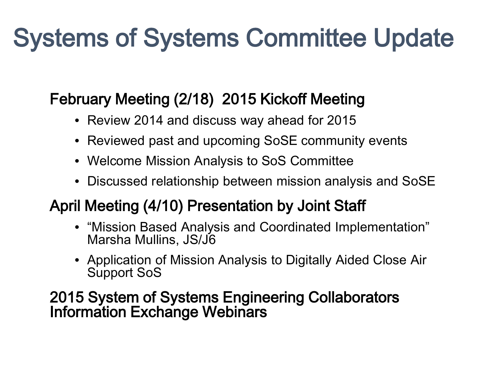## Systems of Systems Committee Update

## February Meeting (2/18) 2015 Kickoff Meeting

- Review 2014 and discuss way ahead for 2015
- Reviewed past and upcoming SoSE community events
- Welcome Mission Analysis to SoS Committee
- Discussed relationship between mission analysis and SoSE

## April Meeting (4/10) Presentation by Joint Staff

- "Mission Based Analysis and Coordinated Implementation" Marsha Mullins, JS/J6
- Application of Mission Analysis to Digitally Aided Close Air Support SoS

## 2015 System of Systems Engineering Collaborators Information Exchange Webinars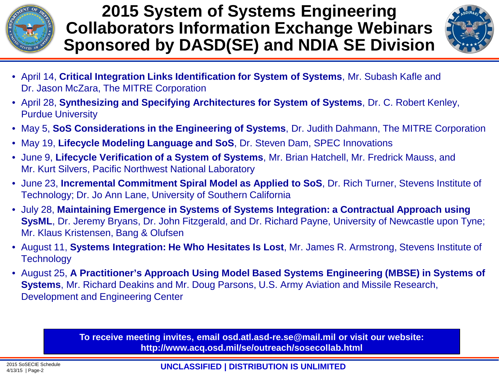

**2015 System of Systems Engineering Collaborators Information Exchange Webinars Sponsored by DASD(SE) and NDIA SE Division**



- April 14, **Critical Integration Links Identification for System of Systems**, Mr. Subash Kafle and Dr. Jason McZara, The MITRE Corporation
- April 28, **Synthesizing and Specifying Architectures for System of Systems**, Dr. C. Robert Kenley, Purdue University
- May 5, **SoS Considerations in the Engineering of Systems**, Dr. Judith Dahmann, The MITRE Corporation
- May 19, **Lifecycle Modeling Language and SoS**, Dr. Steven Dam, SPEC Innovations
- June 9, **Lifecycle Verification of a System of Systems**, Mr. Brian Hatchell, Mr. Fredrick Mauss, and Mr. Kurt Silvers, Pacific Northwest National Laboratory
- June 23, **Incremental Commitment Spiral Model as Applied to SoS**, Dr. Rich Turner, Stevens Institute of Technology; Dr. Jo Ann Lane, University of Southern California
- July 28, **Maintaining Emergence in Systems of Systems Integration: a Contractual Approach using SysML**, Dr. Jeremy Bryans, Dr. John Fitzgerald, and Dr. Richard Payne, University of Newcastle upon Tyne; Mr. Klaus Kristensen, Bang & Olufsen
- August 11, **Systems Integration: He Who Hesitates Is Lost**, Mr. James R. Armstrong, Stevens Institute of **Technology**
- August 25, **A Practitioner's Approach Using Model Based Systems Engineering (MBSE) in Systems of Systems**, Mr. Richard Deakins and Mr. Doug Parsons, U.S. Army Aviation and Missile Research, Development and Engineering Center

**To receive meeting invites, email osd.atl.asd-re.se@mail.mil or visit our website: http://www.acq.osd.mil/se/outreach/sosecollab.html**

**UNCLASSIFIED | DISTRIBUTION IS UNLIMITED** 2015 SoSECIE Schedule